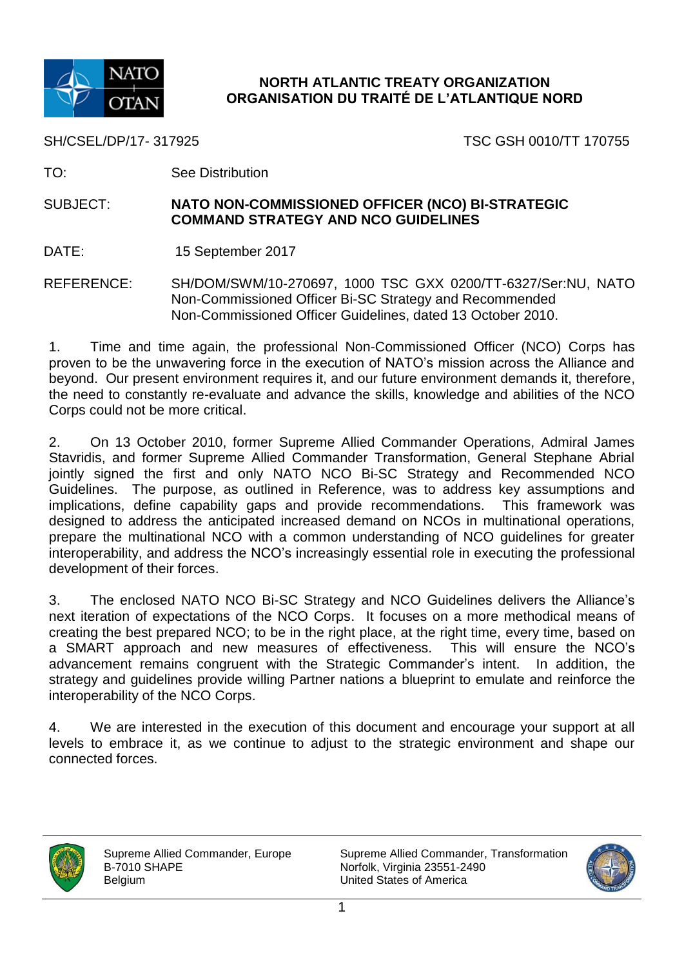

# **NORTH ATLANTIC TREATY ORGANIZATION ORGANISATION DU TRAITÉ DE L'ATLANTIQUE NORD**

SH/CSEL/DP/17- 317925 TSC GSH 0010/TT 170755

TO: See Distribution

#### SUBJECT: **NATO NON-COMMISSIONED OFFICER (NCO) BI-STRATEGIC COMMAND STRATEGY AND NCO GUIDELINES**

DATE: 15 September 2017

REFERENCE: SH/DOM/SWM/10-270697, 1000 TSC GXX 0200/TT-6327/Ser:NU, NATO Non-Commissioned Officer Bi-SC Strategy and Recommended Non-Commissioned Officer Guidelines, dated 13 October 2010.

1. Time and time again, the professional Non-Commissioned Officer (NCO) Corps has proven to be the unwavering force in the execution of NATO's mission across the Alliance and beyond. Our present environment requires it, and our future environment demands it, therefore, the need to constantly re-evaluate and advance the skills, knowledge and abilities of the NCO Corps could not be more critical.

2. On 13 October 2010, former Supreme Allied Commander Operations, Admiral James Stavridis, and former Supreme Allied Commander Transformation, General Stephane Abrial jointly signed the first and only NATO NCO Bi-SC Strategy and Recommended NCO Guidelines. The purpose, as outlined in Reference, was to address key assumptions and implications, define capability gaps and provide recommendations. This framework was designed to address the anticipated increased demand on NCOs in multinational operations, prepare the multinational NCO with a common understanding of NCO guidelines for greater interoperability, and address the NCO's increasingly essential role in executing the professional development of their forces.

3. The enclosed NATO NCO Bi-SC Strategy and NCO Guidelines delivers the Alliance's next iteration of expectations of the NCO Corps. It focuses on a more methodical means of creating the best prepared NCO; to be in the right place, at the right time, every time, based on a SMART approach and new measures of effectiveness. This will ensure the NCO's advancement remains congruent with the Strategic Commander's intent. In addition, the strategy and guidelines provide willing Partner nations a blueprint to emulate and reinforce the interoperability of the NCO Corps.

4. We are interested in the execution of this document and encourage your support at all levels to embrace it, as we continue to adjust to the strategic environment and shape our connected forces.



Supreme Allied Commander, Europe B-7010 SHAPE Belgium

Supreme Allied Commander, Transformation Norfolk, Virginia 23551-2490 United States of America

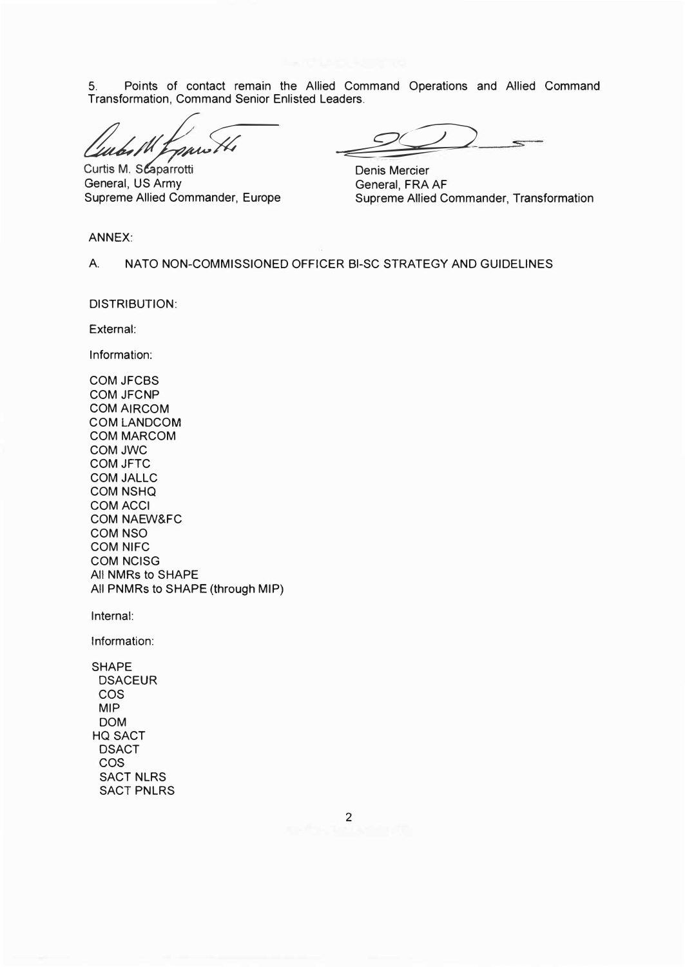5. Points of contact remain the Allied Command Operations and Allied Command Transformation, Command Senior Enlisted Leaders.

Curtis M. Scaparrotti General, US Army Supreme Allied Commander, Europe

-�

Denis Mercier General, FRA AF Supreme Allied Commander, Transformation

ANNEX:

A. NATO NON-COMMISSIONED OFFICER BI-SC STRATEGY AND GUIDELINES

DISTRIBUTION:

External:

Information:

COM JFCBS COM JFCNP **COM AIRCOM** COM LANDCOM COM MARCOM COMJWC COM JFTC COM JALLC COM NSHQ COMACCI COM NAEW&FC COM NSO COM NIFC COM NCISG All NMRs to SHAPE All PNMRs to SHAPE (through MIP)

Internal:

Information: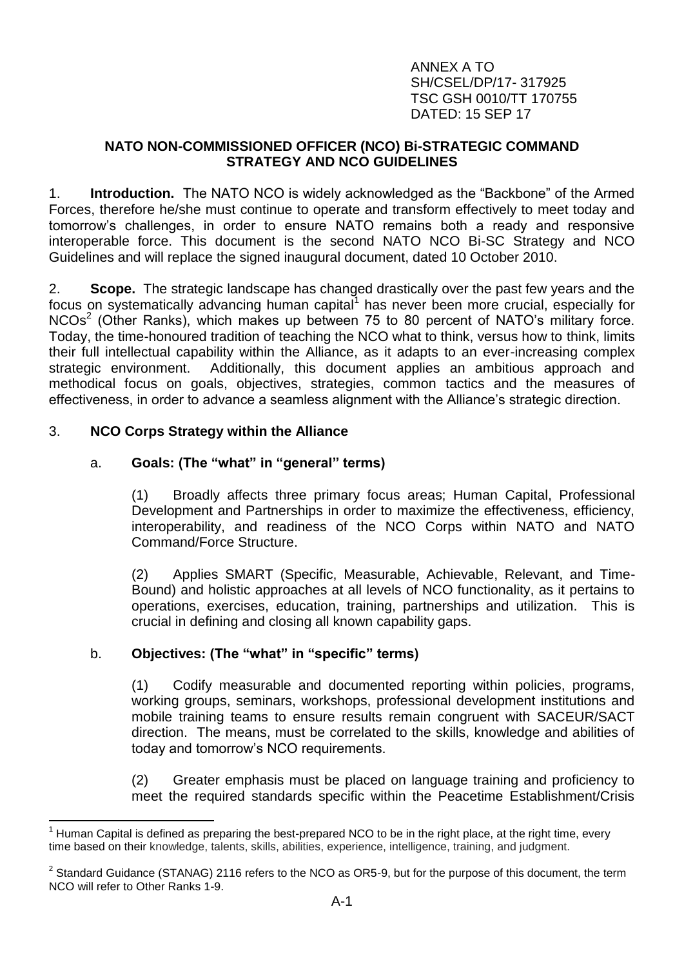ANNEX A TO SH/CSEL/DP/17- 317925 TSC GSH 0010/TT 170755 DATED: 15 SEP 17

### **NATO NON-COMMISSIONED OFFICER (NCO) Bi-STRATEGIC COMMAND STRATEGY AND NCO GUIDELINES**

1. **Introduction.** The NATO NCO is widely acknowledged as the "Backbone" of the Armed Forces, therefore he/she must continue to operate and transform effectively to meet today and tomorrow's challenges, in order to ensure NATO remains both a ready and responsive interoperable force. This document is the second NATO NCO Bi-SC Strategy and NCO Guidelines and will replace the signed inaugural document, dated 10 October 2010.

2. **Scope.** The strategic landscape has changed drastically over the past few years and the focus on systematically advancing human capital<sup>1</sup> has never been more crucial, especially for  $NCOs<sup>2</sup>$  (Other Ranks), which makes up between 75 to 80 percent of NATO's military force. Today, the time-honoured tradition of teaching the NCO what to think, versus how to think, limits their full intellectual capability within the Alliance, as it adapts to an ever-increasing complex strategic environment. Additionally, this document applies an ambitious approach and methodical focus on goals, objectives, strategies, common tactics and the measures of effectiveness, in order to advance a seamless alignment with the Alliance's strategic direction.

### 3. **NCO Corps Strategy within the Alliance**

### a. **Goals: (The "what" in "general" terms)**

(1) Broadly affects three primary focus areas; Human Capital, Professional Development and Partnerships in order to maximize the effectiveness, efficiency, interoperability, and readiness of the NCO Corps within NATO and NATO Command/Force Structure.

(2) Applies SMART (Specific, Measurable, Achievable, Relevant, and Time-Bound) and holistic approaches at all levels of NCO functionality, as it pertains to operations, exercises, education, training, partnerships and utilization. This is crucial in defining and closing all known capability gaps.

#### b. **Objectives: (The "what" in "specific" terms)**

(1) Codify measurable and documented reporting within policies, programs, working groups, seminars, workshops, professional development institutions and mobile training teams to ensure results remain congruent with SACEUR/SACT direction. The means, must be correlated to the skills, knowledge and abilities of today and tomorrow's NCO requirements.

(2) Greater emphasis must be placed on language training and proficiency to meet the required standards specific within the Peacetime Establishment/Crisis

<sup>1</sup> Human Capital is defined as preparing the best-prepared NCO to be in the right place, at the right time, every time based on their knowledge, talents, skills, abilities, experience, intelligence, training, and judgment.

<sup>&</sup>lt;sup>2</sup> Standard Guidance (STANAG) 2116 refers to the NCO as OR5-9, but for the purpose of this document, the term NCO will refer to Other Ranks 1-9.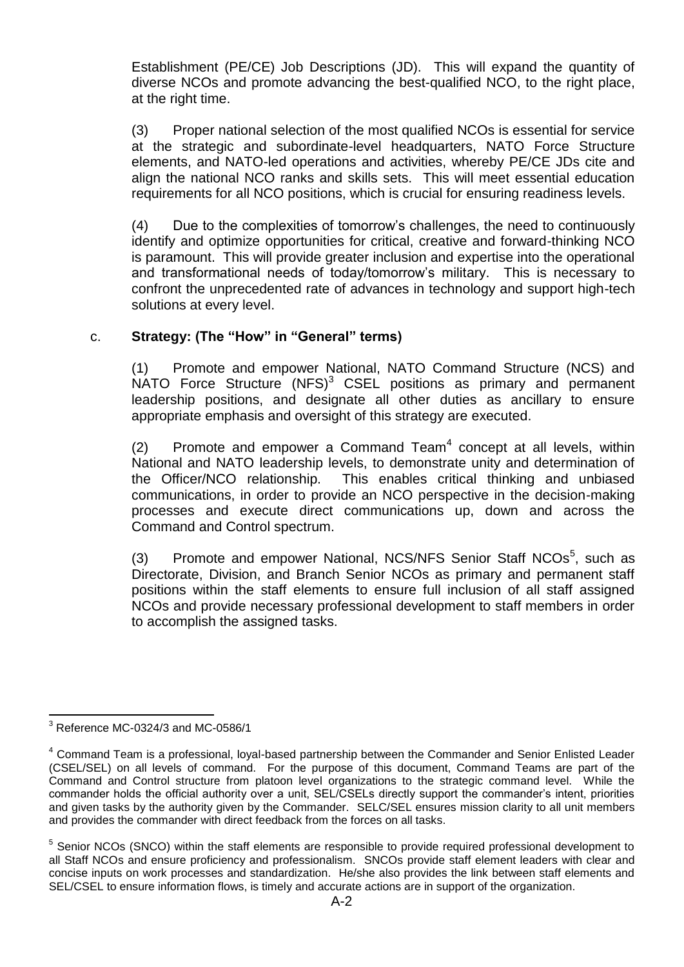Establishment (PE/CE) Job Descriptions (JD). This will expand the quantity of diverse NCOs and promote advancing the best-qualified NCO, to the right place, at the right time.

(3) Proper national selection of the most qualified NCOs is essential for service at the strategic and subordinate-level headquarters, NATO Force Structure elements, and NATO-led operations and activities, whereby PE/CE JDs cite and align the national NCO ranks and skills sets. This will meet essential education requirements for all NCO positions, which is crucial for ensuring readiness levels.

(4) Due to the complexities of tomorrow's challenges, the need to continuously identify and optimize opportunities for critical, creative and forward-thinking NCO is paramount. This will provide greater inclusion and expertise into the operational and transformational needs of today/tomorrow's military. This is necessary to confront the unprecedented rate of advances in technology and support high-tech solutions at every level.

# c. **Strategy: (The "How" in "General" terms)**

(1) Promote and empower National, NATO Command Structure (NCS) and  $NATO$  Force Structure  $(NFS)^3$  CSEL positions as primary and permanent leadership positions, and designate all other duties as ancillary to ensure appropriate emphasis and oversight of this strategy are executed.

 $(2)$  Promote and empower a Command Team<sup>4</sup> concept at all levels, within National and NATO leadership levels, to demonstrate unity and determination of the Officer/NCO relationship. This enables critical thinking and unbiased communications, in order to provide an NCO perspective in the decision-making processes and execute direct communications up, down and across the Command and Control spectrum.

(3) Promote and empower National, NCS/NFS Senior Staff NCOs<sup>5</sup>, such as Directorate, Division, and Branch Senior NCOs as primary and permanent staff positions within the staff elements to ensure full inclusion of all staff assigned NCOs and provide necessary professional development to staff members in order to accomplish the assigned tasks.

 $3$  Reference MC-0324/3 and MC-0586/1

<sup>&</sup>lt;sup>4</sup> Command Team is a professional, loyal-based partnership between the Commander and Senior Enlisted Leader (CSEL/SEL) on all levels of command. For the purpose of this document, Command Teams are part of the Command and Control structure from platoon level organizations to the strategic command level. While the commander holds the official authority over a unit, SEL/CSELs directly support the commander's intent, priorities and given tasks by the authority given by the Commander. SELC/SEL ensures mission clarity to all unit members and provides the commander with direct feedback from the forces on all tasks.

<sup>&</sup>lt;sup>5</sup> Senior NCOs (SNCO) within the staff elements are responsible to provide required professional development to all Staff NCOs and ensure proficiency and professionalism. SNCOs provide staff element leaders with clear and concise inputs on work processes and standardization. He/she also provides the link between staff elements and SEL/CSEL to ensure information flows, is timely and accurate actions are in support of the organization.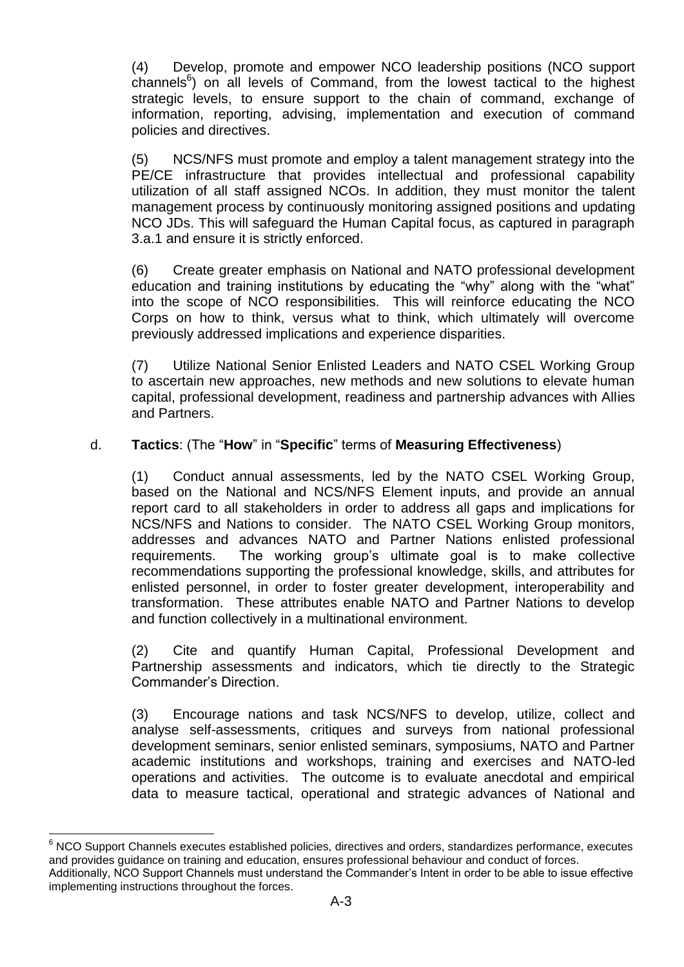(4) Develop, promote and empower NCO leadership positions (NCO support  $channels<sup>6</sup>$ ) on all levels of Command, from the lowest tactical to the highest strategic levels, to ensure support to the chain of command, exchange of information, reporting, advising, implementation and execution of command policies and directives.

(5) NCS/NFS must promote and employ a talent management strategy into the PE/CE infrastructure that provides intellectual and professional capability utilization of all staff assigned NCOs. In addition, they must monitor the talent management process by continuously monitoring assigned positions and updating NCO JDs. This will safeguard the Human Capital focus, as captured in paragraph 3.a.1 and ensure it is strictly enforced.

(6) Create greater emphasis on National and NATO professional development education and training institutions by educating the "why" along with the "what" into the scope of NCO responsibilities. This will reinforce educating the NCO Corps on how to think, versus what to think, which ultimately will overcome previously addressed implications and experience disparities.

(7) Utilize National Senior Enlisted Leaders and NATO CSEL Working Group to ascertain new approaches, new methods and new solutions to elevate human capital, professional development, readiness and partnership advances with Allies and Partners.

#### d. **Tactics**: (The "**How**" in "**Specific**" terms of **Measuring Effectiveness**)

(1) Conduct annual assessments, led by the NATO CSEL Working Group, based on the National and NCS/NFS Element inputs, and provide an annual report card to all stakeholders in order to address all gaps and implications for NCS/NFS and Nations to consider. The NATO CSEL Working Group monitors, addresses and advances NATO and Partner Nations enlisted professional requirements. The working group's ultimate goal is to make collective recommendations supporting the professional knowledge, skills, and attributes for enlisted personnel, in order to foster greater development, interoperability and transformation. These attributes enable NATO and Partner Nations to develop and function collectively in a multinational environment.

(2) Cite and quantify Human Capital, Professional Development and Partnership assessments and indicators, which tie directly to the Strategic Commander's Direction.

(3) Encourage nations and task NCS/NFS to develop, utilize, collect and analyse self-assessments, critiques and surveys from national professional development seminars, senior enlisted seminars, symposiums, NATO and Partner academic institutions and workshops, training and exercises and NATO-led operations and activities. The outcome is to evaluate anecdotal and empirical data to measure tactical, operational and strategic advances of National and

 $6$  NCO Support Channels executes established policies, directives and orders, standardizes performance, executes and provides guidance on training and education, ensures professional behaviour and conduct of forces.

Additionally, NCO Support Channels must understand the Commander's Intent in order to be able to issue effective implementing instructions throughout the forces.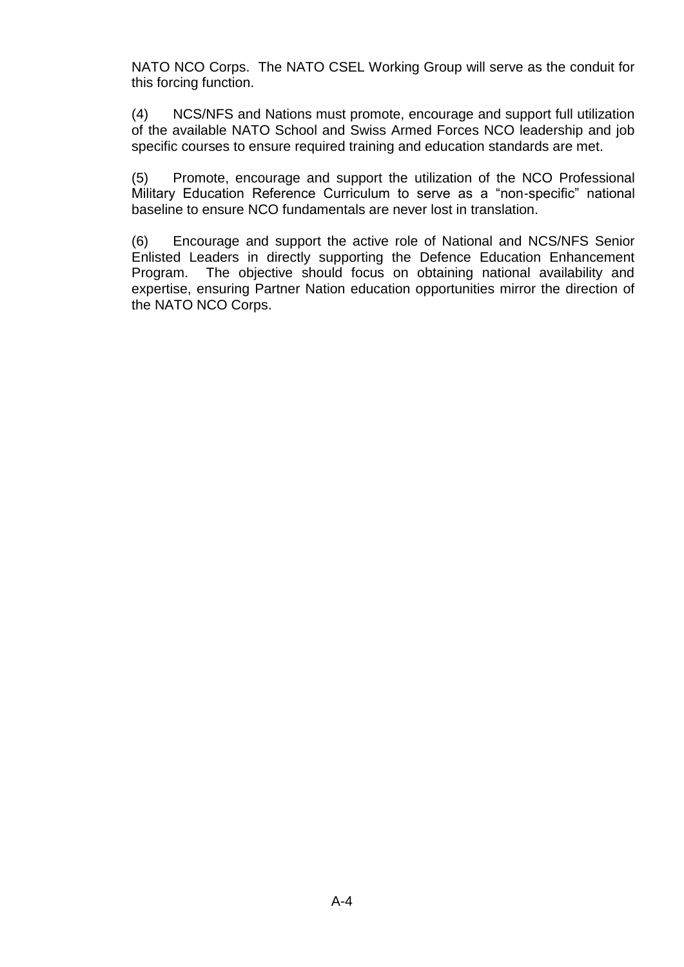NATO NCO Corps. The NATO CSEL Working Group will serve as the conduit for this forcing function.

(4) NCS/NFS and Nations must promote, encourage and support full utilization of the available NATO School and Swiss Armed Forces NCO leadership and job specific courses to ensure required training and education standards are met.

(5) Promote, encourage and support the utilization of the NCO Professional Military Education Reference Curriculum to serve as a "non-specific" national baseline to ensure NCO fundamentals are never lost in translation.

(6) Encourage and support the active role of National and NCS/NFS Senior Enlisted Leaders in directly supporting the Defence Education Enhancement Program. The objective should focus on obtaining national availability and expertise, ensuring Partner Nation education opportunities mirror the direction of the NATO NCO Corps.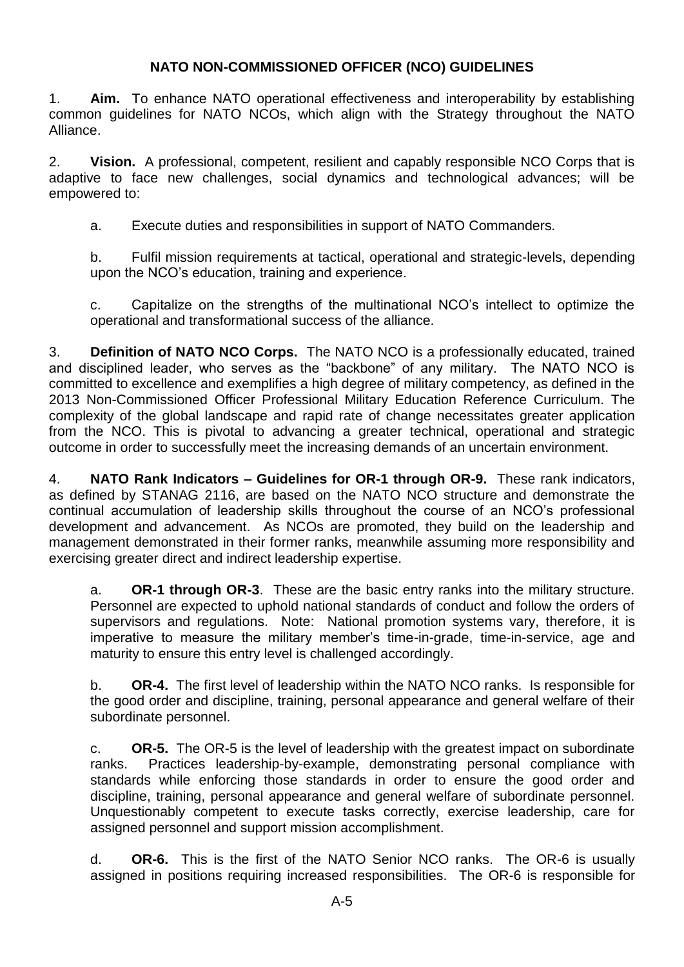# **NATO NON-COMMISSIONED OFFICER (NCO) GUIDELINES**

1. **Aim.** To enhance NATO operational effectiveness and interoperability by establishing common guidelines for NATO NCOs, which align with the Strategy throughout the NATO Alliance.

2. **Vision.** A professional, competent, resilient and capably responsible NCO Corps that is adaptive to face new challenges, social dynamics and technological advances; will be empowered to:

a. Execute duties and responsibilities in support of NATO Commanders.

b. Fulfil mission requirements at tactical, operational and strategic-levels, depending upon the NCO's education, training and experience.

c. Capitalize on the strengths of the multinational NCO's intellect to optimize the operational and transformational success of the alliance.

3. **Definition of NATO NCO Corps.** The NATO NCO is a professionally educated, trained and disciplined leader, who serves as the "backbone" of any military. The NATO NCO is committed to excellence and exemplifies a high degree of military competency, as defined in the 2013 Non-Commissioned Officer Professional Military Education Reference Curriculum. The complexity of the global landscape and rapid rate of change necessitates greater application from the NCO. This is pivotal to advancing a greater technical, operational and strategic outcome in order to successfully meet the increasing demands of an uncertain environment.

4. **NATO Rank Indicators – Guidelines for OR-1 through OR-9.** These rank indicators, as defined by STANAG 2116, are based on the NATO NCO structure and demonstrate the continual accumulation of leadership skills throughout the course of an NCO's professional development and advancement. As NCOs are promoted, they build on the leadership and management demonstrated in their former ranks, meanwhile assuming more responsibility and exercising greater direct and indirect leadership expertise.

a. **OR-1 through OR-3**.These are the basic entry ranks into the military structure. Personnel are expected to uphold national standards of conduct and follow the orders of supervisors and regulations. Note: National promotion systems vary, therefore, it is imperative to measure the military member's time-in-grade, time-in-service, age and maturity to ensure this entry level is challenged accordingly.

b. **OR-4.** The first level of leadership within the NATO NCO ranks. Is responsible for the good order and discipline, training, personal appearance and general welfare of their subordinate personnel.

c. **OR-5.** The OR-5 is the level of leadership with the greatest impact on subordinate ranks. Practices leadership-by-example, demonstrating personal compliance with standards while enforcing those standards in order to ensure the good order and discipline, training, personal appearance and general welfare of subordinate personnel. Unquestionably competent to execute tasks correctly, exercise leadership, care for assigned personnel and support mission accomplishment.

d. **OR-6.** This is the first of the NATO Senior NCO ranks. The OR-6 is usually assigned in positions requiring increased responsibilities. The OR-6 is responsible for